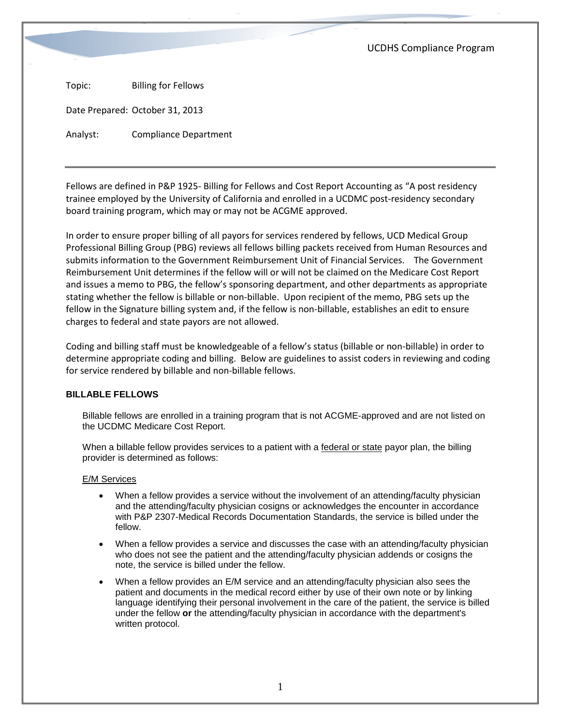UCDHS Compliance Program

Topic: Billing for Fellows

Date Prepared: October 31, 2013

Analyst: Compliance Department

Fellows are defined in P&P 1925- Billing for Fellows and Cost Report Accounting as "A post residency trainee employed by the University of California and enrolled in a UCDMC post-residency secondary board training program, which may or may not be ACGME approved.

In order to ensure proper billing of all payors for services rendered by fellows, UCD Medical Group Professional Billing Group (PBG) reviews all fellows billing packets received from Human Resources and submits information to the Government Reimbursement Unit of Financial Services. The Government Reimbursement Unit determines if the fellow will or will not be claimed on the Medicare Cost Report and issues a memo to PBG, the fellow's sponsoring department, and other departments as appropriate stating whether the fellow is billable or non-billable. Upon recipient of the memo, PBG sets up the fellow in the Signature billing system and, if the fellow is non-billable, establishes an edit to ensure charges to federal and state payors are not allowed.

Coding and billing staff must be knowledgeable of a fellow's status (billable or non-billable) in order to determine appropriate coding and billing. Below are guidelines to assist coders in reviewing and coding for service rendered by billable and non-billable fellows.

## **BILLABLE FELLOWS**

Billable fellows are enrolled in a training program that is not ACGME-approved and are not listed on the UCDMC Medicare Cost Report.

When a billable fellow provides services to a patient with a federal or state payor plan, the billing provider is determined as follows:

## E/M Services

- When a fellow provides a service without the involvement of an attending/faculty physician and the attending/faculty physician cosigns or acknowledges the encounter in accordance with P&P 2307-Medical Records Documentation Standards, the service is billed under the fellow.
- When a fellow provides a service and discusses the case with an attending/faculty physician who does not see the patient and the attending/faculty physician addends or cosigns the note, the service is billed under the fellow.
- When a fellow provides an E/M service and an attending/faculty physician also sees the patient and documents in the medical record either by use of their own note or by linking language identifying their personal involvement in the care of the patient, the service is billed under the fellow **or** the attending/faculty physician in accordance with the department's written protocol.